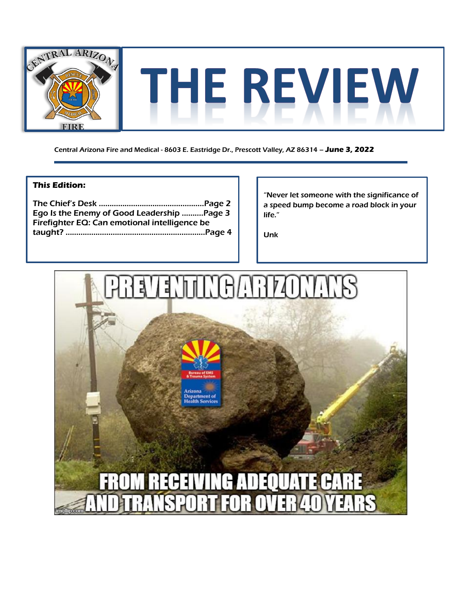

Central Arizona Fire and Medical - 8603 E. Eastridge Dr., Prescott Valley, AZ 86314 – **June 3, 2022**

## **This Edition:**

The Chief's Desk ………………………………..………..Page 2 Ego Is the Enemy of Good Leadership ...…....Page 3 Firefighter EQ: Can emotional intelligence be taught? ……………………………………………..…………Page 4

"Never let someone with the significance of a speed bump become a road block in your life."

Unk

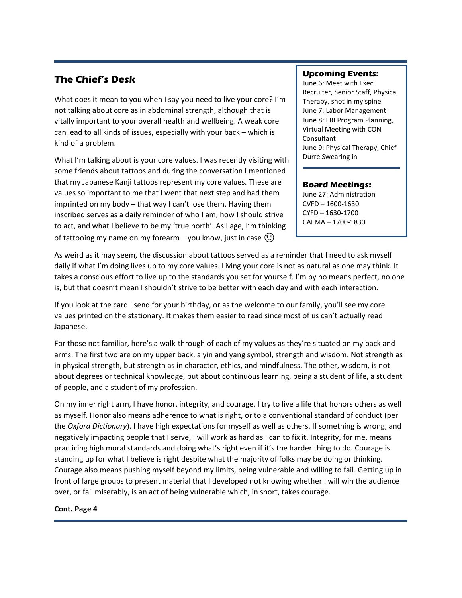## **The Chief's Desk**

What does it mean to you when I say you need to live your core? I'm not talking about core as in abdominal strength, although that is vitally important to your overall health and wellbeing. A weak core can lead to all kinds of issues, especially with your back – which is kind of a problem.

What I'm talking about is your core values. I was recently visiting with some friends about tattoos and during the conversation I mentioned that my Japanese Kanji tattoos represent my core values. These are values so important to me that I went that next step and had them imprinted on my body – that way I can't lose them. Having them inscribed serves as a daily reminder of who I am, how I should strive to act, and what I believe to be my 'true north'. As I age, I'm thinking of tattooing my name on my forearm – you know, just in case  $\circled{c}$ 

### **Upcoming Events:**

June 6: Meet with Exec Recruiter, Senior Staff, Physical Therapy, shot in my spine June 7: Labor Management June 8: FRI Program Planning, Virtual Meeting with CON Consultant June 9: Physical Therapy, Chief Durre Swearing in

### **Board Meetings:**

June 27: Administration CVFD – 1600-1630 CYFD – 1630-1700 CAFMA – 1700-1830

As weird as it may seem, the discussion about tattoos served as a reminder that I need to ask myself daily if what I'm doing lives up to my core values. Living your core is not as natural as one may think. It takes a conscious effort to live up to the standards you set for yourself. I'm by no means perfect, no one is, but that doesn't mean I shouldn't strive to be better with each day and with each interaction.

If you look at the card I send for your birthday, or as the welcome to our family, you'll see my core values printed on the stationary. It makes them easier to read since most of us can't actually read Japanese.

For those not familiar, here's a walk-through of each of my values as they're situated on my back and arms. The first two are on my upper back, a yin and yang symbol, strength and wisdom. Not strength as in physical strength, but strength as in character, ethics, and mindfulness. The other, wisdom, is not about degrees or technical knowledge, but about continuous learning, being a student of life, a student of people, and a student of my profession.

On my inner right arm, I have honor, integrity, and courage. I try to live a life that honors others as well as myself. Honor also means adherence to what is right, or to a conventional standard of conduct (per the *Oxford Dictionary*). I have high expectations for myself as well as others. If something is wrong, and negatively impacting people that I serve, I will work as hard as I can to fix it. Integrity, for me, means practicing high moral standards and doing what's right even if it's the harder thing to do. Courage is standing up for what I believe is right despite what the majority of folks may be doing or thinking. Courage also means pushing myself beyond my limits, being vulnerable and willing to fail. Getting up in front of large groups to present material that I developed not knowing whether I will win the audience over, or fail miserably, is an act of being vulnerable which, in short, takes courage.

#### **Cont. Page 4**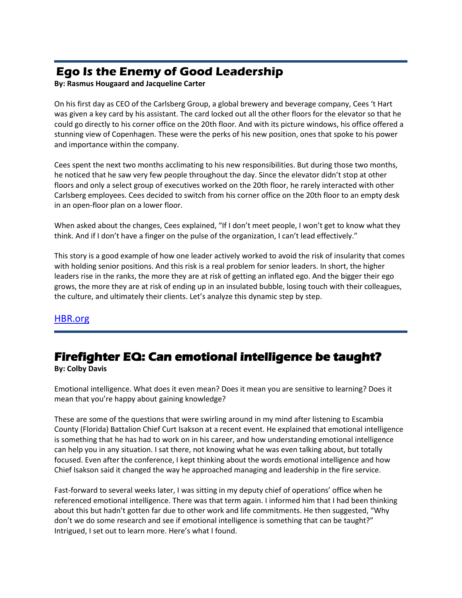# **Ego Is the Enemy of Good Leadership**

**By: Rasmus Hougaard and Jacqueline Carter** 

On his first day as CEO of the Carlsberg Group, a global brewery and beverage company, Cees 't Hart was given a key card by his assistant. The card locked out all the other floors for the elevator so that he could go directly to his corner office on the 20th floor. And with its picture windows, his office offered a stunning view of Copenhagen. These were the perks of his new position, ones that spoke to his power and importance within the company.

Cees spent the next two months acclimating to his new responsibilities. But during those two months, he noticed that he saw very few people throughout the day. Since the elevator didn't stop at other floors and only a select group of executives worked on the 20th floor, he rarely interacted with other Carlsberg employees. Cees decided to switch from his corner office on the 20th floor to an empty desk in an open-floor plan on a lower floor.

When asked about the changes, Cees explained, "If I don't meet people, I won't get to know what they think. And if I don't have a finger on the pulse of the organization, I can't lead effectively."

This story is a good example of how one leader actively worked to avoid the risk of insularity that comes with holding senior positions. And this risk is a real problem for senior leaders. In short, the higher leaders rise in the ranks, the more they are at risk of getting an inflated ego. And the bigger their ego grows, the more they are at risk of ending up in an insulated bubble, losing touch with their colleagues, the culture, and ultimately their clients. Let's analyze this dynamic step by step.

## [HBR.org](https://hbr.org/2018/11/ego-is-the-enemy-of-good-leadership?utm_medium=social&utm_campaign=hbr&utm_source=facebook&tpcc=orgsocial_edit&fbclid=IwAR1N-5iVgrZPifqS8CCWXh4JDih6VRcFdSbiC3bKVoCAEbVpoLJxLMA3oZg)

# **Firefighter EQ: Can emotional intelligence be taught?**

**By: Colby Davis**

Emotional intelligence. What does it even mean? Does it mean you are sensitive to learning? Does it mean that you're happy about gaining knowledge?

These are some of the questions that were swirling around in my mind after listening to Escambia County (Florida) Battalion Chief Curt Isakson at a recent event. He explained that emotional intelligence is something that he has had to work on in his career, and how understanding emotional intelligence can help you in any situation. I sat there, not knowing what he was even talking about, but totally focused. Even after the conference, I kept thinking about the words emotional intelligence and how Chief Isakson said it changed the way he approached managing and leadership in the fire service.

Fast-forward to several weeks later, I was sitting in my deputy chief of operations' office when he referenced emotional intelligence. There was that term again. I informed him that I had been thinking about this but hadn't gotten far due to other work and life commitments. He then suggested, "Why don't we do some research and see if emotional intelligence is something that can be taught?" Intrigued, I set out to learn more. Here's what I found.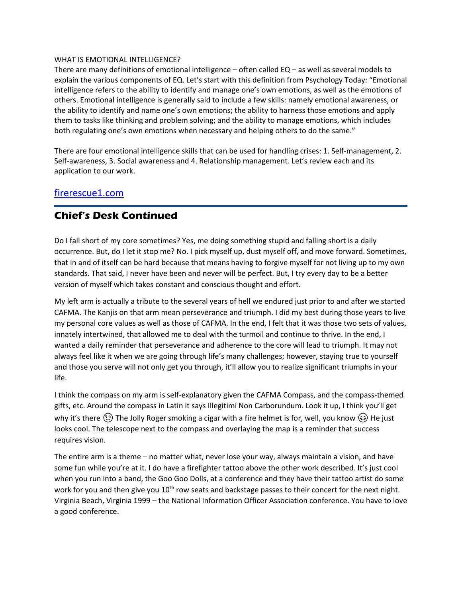#### WHAT IS EMOTIONAL INTELLIGENCE?

There are many definitions of emotional intelligence – often called EQ – as well as several models to explain the various components of EQ. Let's start with this definition from Psychology Today: "Emotional intelligence refers to the ability to identify and manage one's own emotions, as well as the emotions of others. Emotional intelligence is generally said to include a few skills: namely emotional awareness, or the ability to identify and name one's own emotions; the ability to harness those emotions and apply them to tasks like thinking and problem solving; and the ability to manage emotions, which includes both regulating one's own emotions when necessary and helping others to do the same."

There are four emotional intelligence skills that can be used for handling crises: 1. Self-management, 2. Self-awareness, 3. Social awareness and 4. Relationship management. Let's review each and its application to our work.

## [firerescue1.com](https://www.firerescue1.com/fire-products/fitness-mental-health-wellness/articles/firefighter-eq-can-emotional-intelligence-be-taught-XsmyqmSfqVEyrnaK/)

## **Chief's Desk Continued**

Do I fall short of my core sometimes? Yes, me doing something stupid and falling short is a daily occurrence. But, do I let it stop me? No. I pick myself up, dust myself off, and move forward. Sometimes, that in and of itself can be hard because that means having to forgive myself for not living up to my own standards. That said, I never have been and never will be perfect. But, I try every day to be a better version of myself which takes constant and conscious thought and effort.

My left arm is actually a tribute to the several years of hell we endured just prior to and after we started CAFMA. The Kanjis on that arm mean perseverance and triumph. I did my best during those years to live my personal core values as well as those of CAFMA. In the end, I felt that it was those two sets of values, innately intertwined, that allowed me to deal with the turmoil and continue to thrive. In the end, I wanted a daily reminder that perseverance and adherence to the core will lead to triumph. It may not always feel like it when we are going through life's many challenges; however, staying true to yourself and those you serve will not only get you through, it'll allow you to realize significant triumphs in your life.

I think the compass on my arm is self-explanatory given the CAFMA Compass, and the compass-themed gifts, etc. Around the compass in Latin it says Illegitimi Non Carborundum. Look it up, I think you'll get why it's there  $\circled{c}$  The Jolly Roger smoking a cigar with a fire helmet is for, well, you know  $\circled{c}$  He just looks cool. The telescope next to the compass and overlaying the map is a reminder that success requires vision.

The entire arm is a theme – no matter what, never lose your way, always maintain a vision, and have some fun while you're at it. I do have a firefighter tattoo above the other work described. It's just cool when you run into a band, the Goo Goo Dolls, at a conference and they have their tattoo artist do some work for you and then give you 10<sup>th</sup> row seats and backstage passes to their concert for the next night. Virginia Beach, Virginia 1999 – the National Information Officer Association conference. You have to love a good conference.